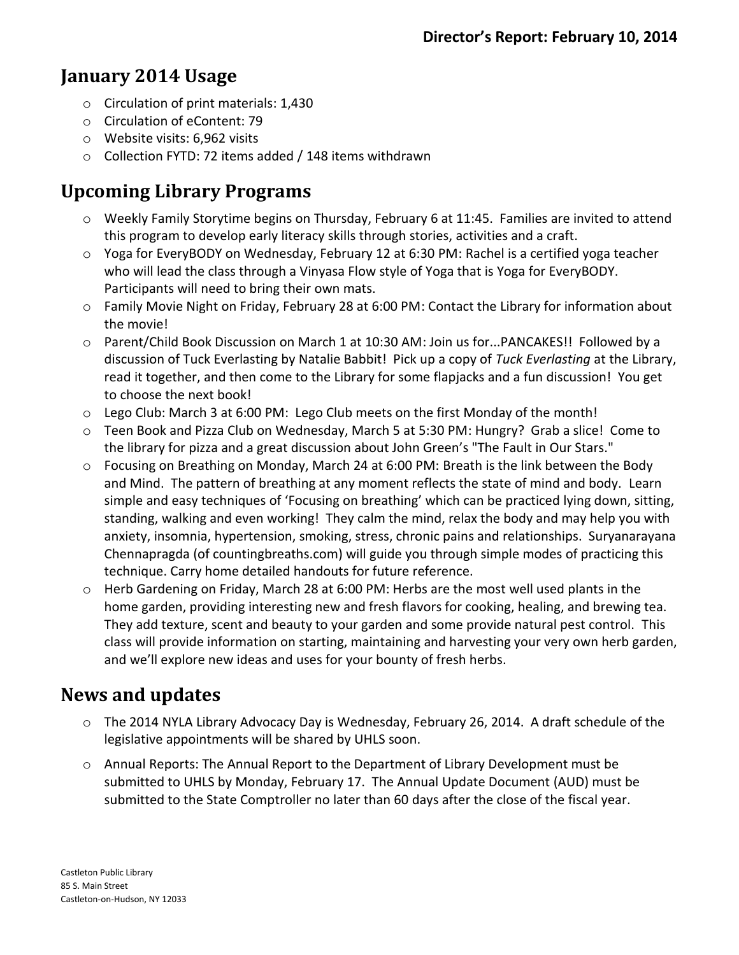## **January 2014 Usage**

- o Circulation of print materials: 1,430
- o Circulation of eContent: 79
- o Website visits: 6,962 visits
- o Collection FYTD: 72 items added / 148 items withdrawn

## **Upcoming Library Programs**

- o Weekly Family Storytime begins on Thursday, February 6 at 11:45. Families are invited to attend this program to develop early literacy skills through stories, activities and a craft.
- o Yoga for EveryBODY on Wednesday, February 12 at 6:30 PM: Rachel is a certified yoga teacher who will lead the class through a Vinyasa Flow style of Yoga that is Yoga for EveryBODY. Participants will need to bring their own mats.
- o Family Movie Night on Friday, February 28 at 6:00 PM: Contact the Library for information about the movie!
- o Parent/Child Book Discussion on March 1 at 10:30 AM: Join us for...PANCAKES!! Followed by a discussion of Tuck Everlasting by Natalie Babbit! Pick up a copy of *Tuck Everlasting* at the Library, read it together, and then come to the Library for some flapjacks and a fun discussion! You get to choose the next book!
- $\circ$  Lego Club: March 3 at 6:00 PM: Lego Club meets on the first Monday of the month!
- o Teen Book and Pizza Club on Wednesday, March 5 at 5:30 PM: Hungry? Grab a slice! Come to the library for pizza and a great discussion about John Green's "The Fault in Our Stars."
- o Focusing on Breathing on Monday, March 24 at 6:00 PM: Breath is the link between the Body and Mind. The pattern of breathing at any moment reflects the state of mind and body. Learn simple and easy techniques of 'Focusing on breathing' which can be practiced lying down, sitting, standing, walking and even working! They calm the mind, relax the body and may help you with anxiety, insomnia, hypertension, smoking, stress, chronic pains and relationships. Suryanarayana Chennapragda (of countingbreaths.com) will guide you through simple modes of practicing this technique. Carry home detailed handouts for future reference.
- o Herb Gardening on Friday, March 28 at 6:00 PM: Herbs are the most well used plants in the home garden, providing interesting new and fresh flavors for cooking, healing, and brewing tea. They add texture, scent and beauty to your garden and some provide natural pest control. This class will provide information on starting, maintaining and harvesting your very own herb garden, and we'll explore new ideas and uses for your bounty of fresh herbs.

## **News and updates**

- o The 2014 NYLA Library Advocacy Day is Wednesday, February 26, 2014. A draft schedule of the legislative appointments will be shared by UHLS soon.
- o Annual Reports: The Annual Report to the Department of Library Development must be submitted to UHLS by Monday, February 17. The Annual Update Document (AUD) must be submitted to the State Comptroller no later than 60 days after the close of the fiscal year.